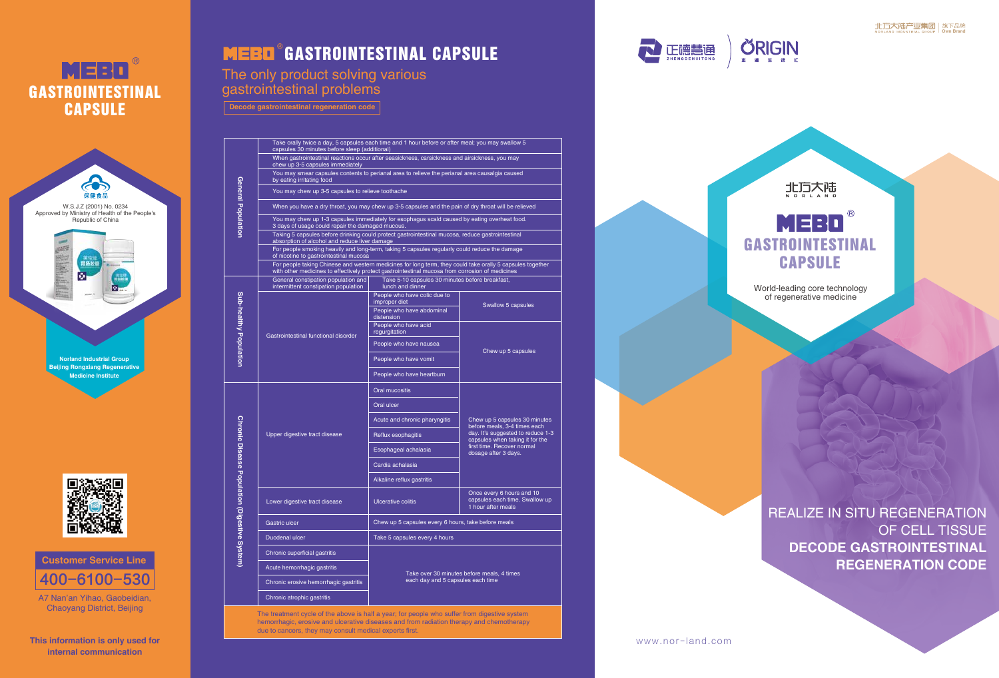www.nor- land.com





MERD GASTROINTESTINAL **CAPSULE** World-leading core technology of regenerative medicine

REALIZE IN SITU REGENERATION OF CELL TISSUE **DECODE GASTROINTESTINAL REGENERATION CODE**

**Decode gastrointestinal regeneration code**

# The only product solving various gastrointestinal problems

**General Population**

\_ল ಕಿ

ഹ

**Sub-healthy Population**

litry

**Chronic Disease Population (Digestive System)**

-g

hdod

**Ironic** 



hemorrhagic, erosive and ulcerative diseases and from radiation therapy and chemotherapy due to cancers, they may consult medical experts first.



400-6100-530 **Customer Service Line**

# MEBO GASTROINTESTINAL **CAPSULE**





A7 Nan'an Yihao, Gaobeidian, Chaoyang District, Beijing

**This information is only used for internal communication**

# **MEBO** GASTROINTESTINAL CAPSULE